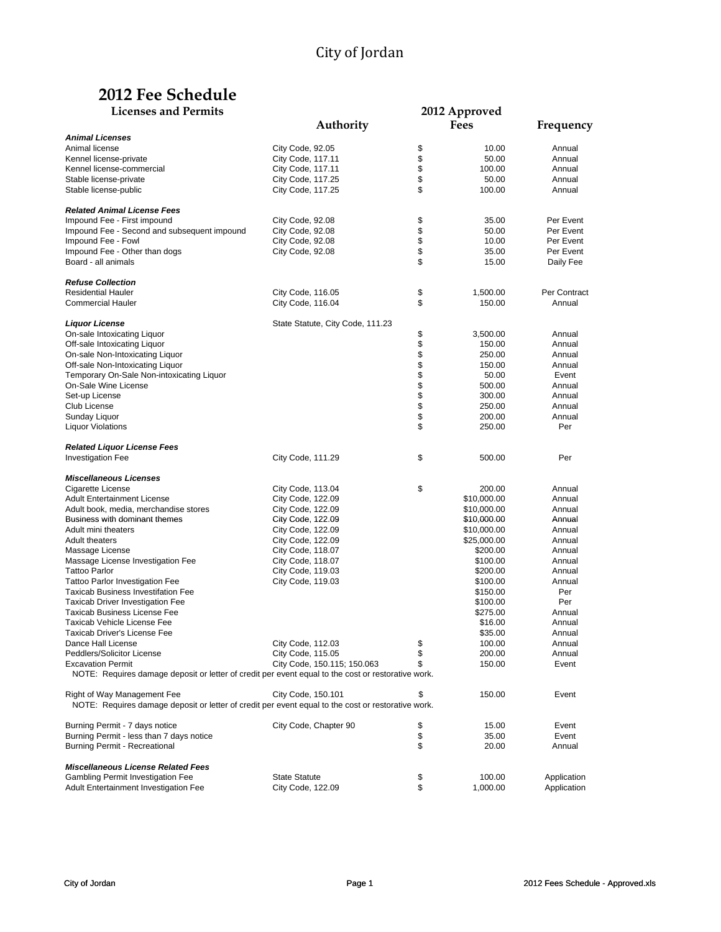# **2012 Fee Schedule**

| <b>Licenses and Permits</b>                                                                                                    | 2012 Approved                    |              |             |              |
|--------------------------------------------------------------------------------------------------------------------------------|----------------------------------|--------------|-------------|--------------|
|                                                                                                                                | Authority                        |              | <b>Fees</b> | Frequency    |
| <b>Animal Licenses</b>                                                                                                         |                                  |              |             |              |
| Animal license                                                                                                                 | City Code, 92.05                 | \$           | 10.00       | Annual       |
| Kennel license-private                                                                                                         | City Code, 117.11                | \$           | 50.00       | Annual       |
| Kennel license-commercial                                                                                                      | City Code, 117.11                | \$           | 100.00      | Annual       |
| Stable license-private                                                                                                         | City Code, 117.25                | \$           | 50.00       | Annual       |
| Stable license-public                                                                                                          | City Code, 117.25                | \$           | 100.00      | Annual       |
| <b>Related Animal License Fees</b>                                                                                             |                                  |              |             |              |
| Impound Fee - First impound                                                                                                    | City Code, 92.08                 | \$           | 35.00       | Per Event    |
| Impound Fee - Second and subsequent impound                                                                                    | City Code, 92.08                 | \$           | 50.00       | Per Event    |
| Impound Fee - Fowl                                                                                                             | City Code, 92.08                 | \$           | 10.00       | Per Event    |
| Impound Fee - Other than dogs                                                                                                  | City Code, 92.08                 | \$           | 35.00       | Per Event    |
| Board - all animals                                                                                                            |                                  | \$           | 15.00       | Daily Fee    |
| <b>Refuse Collection</b>                                                                                                       |                                  |              |             |              |
| <b>Residential Hauler</b>                                                                                                      | City Code, 116.05                | \$           | 1,500.00    | Per Contract |
| <b>Commercial Hauler</b>                                                                                                       | City Code, 116.04                | \$           | 150.00      | Annual       |
| Liquor License                                                                                                                 | State Statute, City Code, 111.23 |              |             |              |
| On-sale Intoxicating Liquor                                                                                                    |                                  | \$           | 3,500.00    | Annual       |
| Off-sale Intoxicating Liquor                                                                                                   |                                  | \$           | 150.00      | Annual       |
| On-sale Non-Intoxicating Liquor                                                                                                |                                  | \$\$\$\$\$\$ | 250.00      | Annual       |
| Off-sale Non-Intoxicating Liquor                                                                                               |                                  |              | 150.00      | Annual       |
| Temporary On-Sale Non-intoxicating Liquor                                                                                      |                                  |              | 50.00       | Event        |
| On-Sale Wine License                                                                                                           |                                  |              | 500.00      | Annual       |
| Set-up License                                                                                                                 |                                  |              | 300.00      | Annual       |
| <b>Club License</b>                                                                                                            |                                  |              | 250.00      | Annual       |
| Sunday Liquor                                                                                                                  |                                  | \$           | 200.00      | Annual       |
| <b>Liquor Violations</b>                                                                                                       |                                  | \$           | 250.00      | Per          |
| Related Liquor License Fees                                                                                                    |                                  |              |             |              |
| <b>Investigation Fee</b>                                                                                                       | City Code, 111.29                | \$           | 500.00      | Per          |
| <b>Miscellaneous Licenses</b>                                                                                                  |                                  |              |             |              |
| Cigarette License                                                                                                              | City Code, 113.04                | \$           | 200.00      | Annual       |
| <b>Adult Entertainment License</b>                                                                                             | City Code, 122.09                |              | \$10,000.00 | Annual       |
| Adult book, media, merchandise stores                                                                                          | City Code, 122.09                |              | \$10,000.00 | Annual       |
| Business with dominant themes                                                                                                  | City Code, 122.09                |              | \$10,000.00 | Annual       |
| Adult mini theaters                                                                                                            | City Code, 122.09                |              | \$10,000.00 | Annual       |
| <b>Adult theaters</b>                                                                                                          | City Code, 122.09                |              | \$25,000.00 | Annual       |
| Massage License                                                                                                                | City Code, 118.07                |              | \$200.00    | Annual       |
| Massage License Investigation Fee                                                                                              | City Code, 118.07                |              | \$100.00    | Annual       |
| <b>Tattoo Parlor</b>                                                                                                           | City Code, 119.03                |              | \$200.00    | Annual       |
| <b>Tattoo Parlor Investigation Fee</b>                                                                                         | City Code, 119.03                |              | \$100.00    | Annual       |
| <b>Taxicab Business Investifation Fee</b>                                                                                      |                                  |              | \$150.00    | Per          |
| <b>Taxicab Driver Investigation Fee</b>                                                                                        |                                  |              | \$100.00    | Per          |
| <b>Taxicab Business License Fee</b>                                                                                            |                                  |              | \$275.00    | Annual       |
| Taxicab Vehicle License Fee                                                                                                    |                                  |              | \$16.00     | Annual       |
| Taxicab Driver's License Fee                                                                                                   |                                  |              | \$35.00     | Annual       |
| Dance Hall License                                                                                                             | City Code, 112.03                | \$           | 100.00      | Annual       |
| Peddlers/Solicitor License                                                                                                     | City Code, 115.05                | \$           | 200.00      | Annual       |
| <b>Excavation Permit</b><br>NOTE: Requires damage deposit or letter of credit per event equal to the cost or restorative work. | City Code, 150.115; 150.063      | \$           | 150.00      | Event        |
|                                                                                                                                |                                  |              |             |              |
| Right of Way Management Fee                                                                                                    | City Code, 150.101               | \$           | 150.00      | Event        |
| NOTE: Requires damage deposit or letter of credit per event equal to the cost or restorative work.                             |                                  |              |             |              |
| Burning Permit - 7 days notice                                                                                                 | City Code, Chapter 90            | \$           | 15.00       | Event        |
| Burning Permit - less than 7 days notice                                                                                       |                                  | \$           | 35.00       | Event        |
| Burning Permit - Recreational                                                                                                  |                                  | \$           | 20.00       | Annual       |
| <b>Miscellaneous License Related Fees</b>                                                                                      |                                  |              |             |              |
| Gambling Permit Investigation Fee                                                                                              | <b>State Statute</b>             | \$           | 100.00      | Application  |
| Adult Entertainment Investigation Fee                                                                                          | City Code, 122.09                | \$           | 1,000.00    | Application  |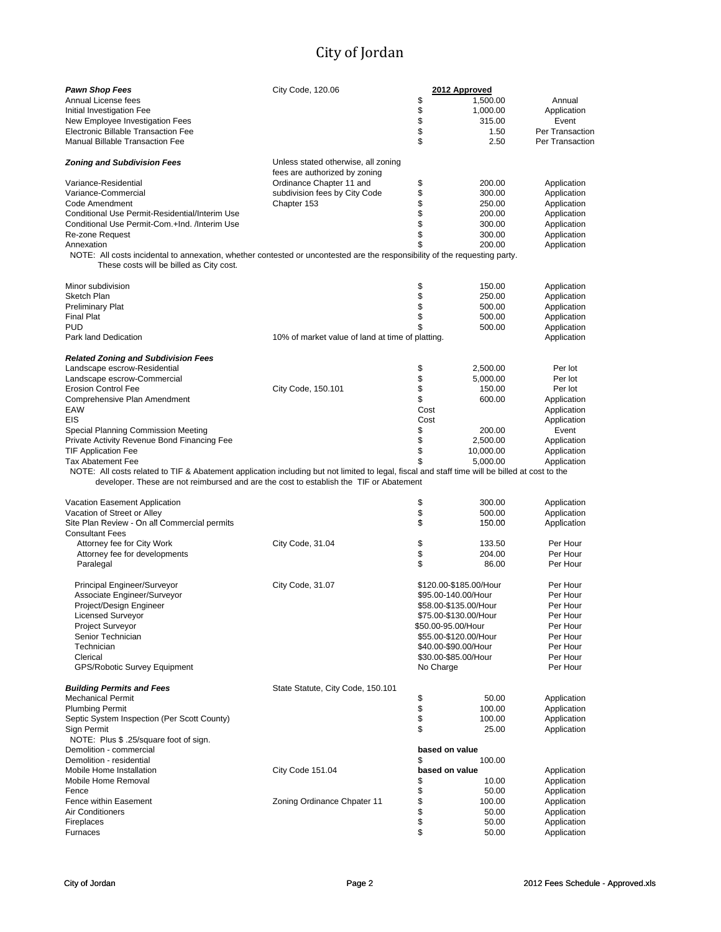| Pawn Shop Fees                                                                                                                                                                                                                           | City Code, 120.06                                                    |                                               | 2012 Approved         |                      |
|------------------------------------------------------------------------------------------------------------------------------------------------------------------------------------------------------------------------------------------|----------------------------------------------------------------------|-----------------------------------------------|-----------------------|----------------------|
| Annual License fees                                                                                                                                                                                                                      |                                                                      | \$                                            | 1,500.00              | Annual               |
| Initial Investigation Fee                                                                                                                                                                                                                |                                                                      | \$                                            | 1,000.00              | Application          |
| New Employee Investigation Fees                                                                                                                                                                                                          |                                                                      | \$                                            | 315.00                | Event                |
| <b>Electronic Billable Transaction Fee</b>                                                                                                                                                                                               |                                                                      | \$                                            | 1.50                  | Per Transaction      |
| Manual Billable Transaction Fee                                                                                                                                                                                                          |                                                                      | \$                                            | 2.50                  | Per Transaction      |
| Zoning and Subdivision Fees                                                                                                                                                                                                              | Unless stated otherwise, all zoning<br>fees are authorized by zoning |                                               |                       |                      |
| Variance-Residential                                                                                                                                                                                                                     | Ordinance Chapter 11 and                                             | \$                                            | 200.00                | Application          |
| Variance-Commercial                                                                                                                                                                                                                      | subdivision fees by City Code                                        | \$                                            | 300.00                | Application          |
| Code Amendment                                                                                                                                                                                                                           | Chapter 153                                                          |                                               | 250.00                | Application          |
| Conditional Use Permit-Residential/Interim Use                                                                                                                                                                                           |                                                                      | \$\$\$\$                                      | 200.00                | Application          |
| Conditional Use Permit-Com.+Ind. /Interim Use                                                                                                                                                                                            |                                                                      |                                               | 300.00                | Application          |
| Re-zone Request                                                                                                                                                                                                                          |                                                                      |                                               | 300.00                | Application          |
| Annexation                                                                                                                                                                                                                               |                                                                      | \$                                            | 200.00                | Application          |
| NOTE: All costs incidental to annexation, whether contested or uncontested are the responsibility of the requesting party.                                                                                                               |                                                                      |                                               |                       |                      |
| These costs will be billed as City cost.                                                                                                                                                                                                 |                                                                      |                                               |                       |                      |
| Minor subdivision                                                                                                                                                                                                                        |                                                                      | \$                                            | 150.00                | Application          |
| Sketch Plan                                                                                                                                                                                                                              |                                                                      | \$                                            | 250.00                | Application          |
| <b>Preliminary Plat</b>                                                                                                                                                                                                                  |                                                                      | \$                                            | 500.00                | Application          |
| Final Plat                                                                                                                                                                                                                               |                                                                      | \$                                            | 500.00                | Application          |
| PUD                                                                                                                                                                                                                                      |                                                                      | \$                                            | 500.00                | Application          |
| Park land Dedication                                                                                                                                                                                                                     | 10% of market value of land at time of platting.                     |                                               |                       | Application          |
| <b>Related Zoning and Subdivision Fees</b>                                                                                                                                                                                               |                                                                      |                                               |                       |                      |
| Landscape escrow-Residential                                                                                                                                                                                                             |                                                                      | \$                                            | 2,500.00              | Per lot              |
| Landscape escrow-Commercial                                                                                                                                                                                                              |                                                                      | \$                                            | 5,000.00              | Per lot              |
| <b>Erosion Control Fee</b>                                                                                                                                                                                                               | City Code, 150.101                                                   | \$                                            | 150.00                | Per lot              |
| Comprehensive Plan Amendment                                                                                                                                                                                                             |                                                                      | \$                                            | 600.00                | Application          |
| EAW                                                                                                                                                                                                                                      |                                                                      | Cost                                          |                       | Application          |
| EIS                                                                                                                                                                                                                                      |                                                                      | Cost                                          |                       | Application          |
| Special Planning Commission Meeting                                                                                                                                                                                                      |                                                                      | \$                                            | 200.00                | Event                |
| Private Activity Revenue Bond Financing Fee                                                                                                                                                                                              |                                                                      | \$                                            | 2,500.00              | Application          |
| <b>TIF Application Fee</b>                                                                                                                                                                                                               |                                                                      | \$                                            | 10,000.00             | Application          |
| Tax Abatement Fee                                                                                                                                                                                                                        |                                                                      | \$                                            | 5,000.00              | Application          |
| NOTE: All costs related to TIF & Abatement application including but not limited to legal, fiscal and staff time will be billed at cost to the<br>developer. These are not reimbursed and are the cost to establish the TIF or Abatement |                                                                      |                                               |                       |                      |
| Vacation Easement Application                                                                                                                                                                                                            |                                                                      | \$                                            | 300.00                | Application          |
| Vacation of Street or Alley                                                                                                                                                                                                              |                                                                      | \$                                            | 500.00                | Application          |
| Site Plan Review - On all Commercial permits                                                                                                                                                                                             |                                                                      | \$                                            | 150.00                | Application          |
| <b>Consultant Fees</b>                                                                                                                                                                                                                   |                                                                      |                                               |                       |                      |
| Attorney fee for City Work                                                                                                                                                                                                               | City Code, 31.04                                                     | \$                                            | 133.50                | Per Hour             |
| Attorney fee for developments                                                                                                                                                                                                            |                                                                      | \$                                            | 204.00                | Per Hour             |
| Paralegal                                                                                                                                                                                                                                |                                                                      | \$                                            | 86.00                 | Per Hour             |
| Principal Engineer/Surveyor                                                                                                                                                                                                              | City Code, 31.07                                                     |                                               |                       | Per Hour             |
| Associate Engineer/Surveyor                                                                                                                                                                                                              |                                                                      | \$120.00-\$185.00/Hour<br>\$95.00-140.00/Hour |                       | Per Hour             |
|                                                                                                                                                                                                                                          |                                                                      |                                               | \$58.00-\$135.00/Hour | Per Hour             |
| Project/Design Engineer                                                                                                                                                                                                                  |                                                                      |                                               |                       | Per Hour             |
| <b>Licensed Surveyor</b>                                                                                                                                                                                                                 |                                                                      |                                               | \$75.00-\$130.00/Hour |                      |
| <b>Project Surveyor</b>                                                                                                                                                                                                                  |                                                                      |                                               | \$50.00-95.00/Hour    | Per Hour             |
| Senior Technician                                                                                                                                                                                                                        |                                                                      |                                               | \$55.00-\$120.00/Hour | Per Hour             |
| Technician                                                                                                                                                                                                                               |                                                                      |                                               | \$40.00-\$90.00/Hour  | Per Hour             |
| Clerical<br>GPS/Robotic Survey Equipment                                                                                                                                                                                                 |                                                                      | No Charge                                     | \$30.00-\$85.00/Hour  | Per Hour<br>Per Hour |
|                                                                                                                                                                                                                                          |                                                                      |                                               |                       |                      |
| <b>Building Permits and Fees</b>                                                                                                                                                                                                         | State Statute, City Code, 150.101                                    |                                               |                       |                      |
| Mechanical Permit                                                                                                                                                                                                                        |                                                                      | \$                                            | 50.00                 | Application          |
| <b>Plumbing Permit</b>                                                                                                                                                                                                                   |                                                                      | \$                                            | 100.00                | Application          |
| Septic System Inspection (Per Scott County)                                                                                                                                                                                              |                                                                      | \$                                            | 100.00                | Application          |
| Sign Permit                                                                                                                                                                                                                              |                                                                      | \$                                            | 25.00                 | Application          |
| NOTE: Plus \$ .25/square foot of sign.                                                                                                                                                                                                   |                                                                      |                                               |                       |                      |
| Demolition - commercial                                                                                                                                                                                                                  |                                                                      |                                               | based on value        |                      |
| Demolition - residential                                                                                                                                                                                                                 |                                                                      | \$                                            | 100.00                |                      |
| Mobile Home Installation                                                                                                                                                                                                                 | City Code 151.04                                                     |                                               | based on value        | Application          |
| Mobile Home Removal                                                                                                                                                                                                                      |                                                                      | \$                                            | 10.00                 | Application          |
| Fence                                                                                                                                                                                                                                    |                                                                      | \$                                            | 50.00                 | Application          |
| Fence within Easement                                                                                                                                                                                                                    | Zoning Ordinance Chpater 11                                          | \$                                            | 100.00                | Application          |
| Air Conditioners                                                                                                                                                                                                                         |                                                                      | \$                                            | 50.00                 | Application          |
| Fireplaces                                                                                                                                                                                                                               |                                                                      | \$                                            | 50.00                 | Application          |
| Furnaces                                                                                                                                                                                                                                 |                                                                      | \$                                            | 50.00                 | Application          |
|                                                                                                                                                                                                                                          |                                                                      |                                               |                       |                      |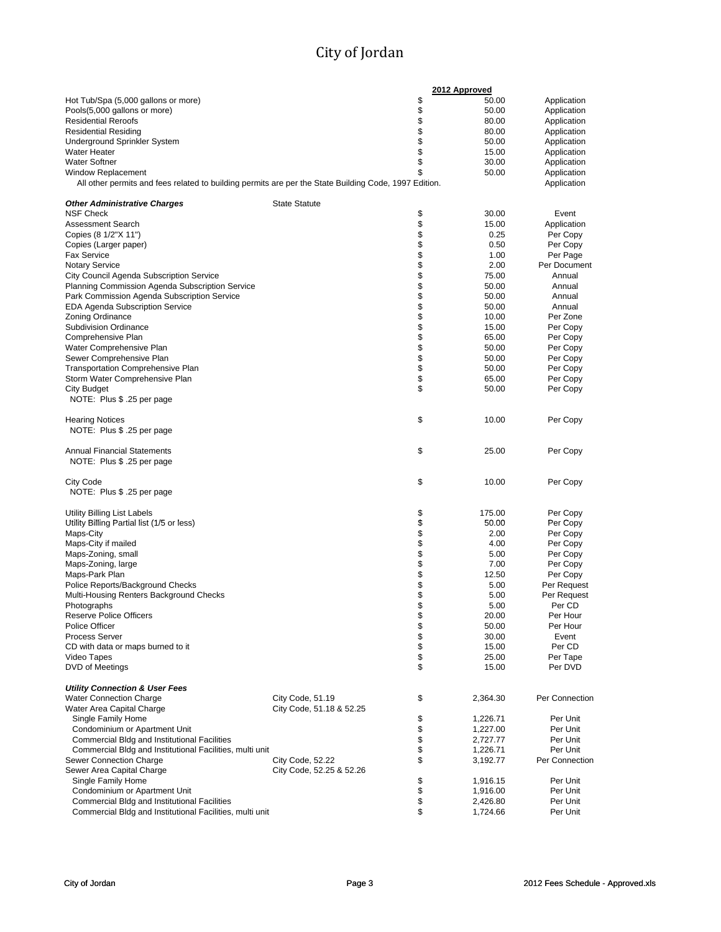|                                                                                                       |                          |      | 2012 Approved  |                |
|-------------------------------------------------------------------------------------------------------|--------------------------|------|----------------|----------------|
| Hot Tub/Spa (5,000 gallons or more)                                                                   |                          | \$   | 50.00          | Application    |
| Pools(5,000 gallons or more)                                                                          |                          | \$   | 50.00          | Application    |
| <b>Residential Reroofs</b>                                                                            |                          | \$   | 80.00          | Application    |
| <b>Residential Residing</b>                                                                           |                          | \$   | 80.00          | Application    |
| Underground Sprinkler System                                                                          |                          | \$   | 50.00          | Application    |
| Water Heater                                                                                          |                          | \$   | 15.00          | Application    |
|                                                                                                       |                          |      |                |                |
| <b>Water Softner</b>                                                                                  |                          | \$   | 30.00          | Application    |
| <b>Window Replacement</b>                                                                             |                          | \$   | 50.00          | Application    |
| All other permits and fees related to building permits are per the State Building Code, 1997 Edition. |                          |      |                | Application    |
| <b>Other Administrative Charges</b>                                                                   | <b>State Statute</b>     |      |                |                |
| NSF Check                                                                                             |                          | \$   | 30.00          | Event          |
| <b>Assessment Search</b>                                                                              |                          | \$   | 15.00          | Application    |
| Copies (8 1/2"X 11")                                                                                  |                          | \$   | 0.25           | Per Copy       |
| Copies (Larger paper)                                                                                 |                          | \$   | 0.50           | Per Copy       |
|                                                                                                       |                          |      |                |                |
| <b>Fax Service</b>                                                                                    |                          | \$   | 1.00           | Per Page       |
| <b>Notary Service</b>                                                                                 |                          | \$   | 2.00           | Per Document   |
| City Council Agenda Subscription Service                                                              |                          | \$   | 75.00          | Annual         |
| Planning Commission Agenda Subscription Service                                                       |                          | \$   | 50.00          | Annual         |
| Park Commission Agenda Subscription Service                                                           |                          | \$   | 50.00          | Annual         |
| EDA Agenda Subscription Service                                                                       |                          | \$   | 50.00          | Annual         |
| <b>Zoning Ordinance</b>                                                                               |                          | \$   | 10.00          | Per Zone       |
| <b>Subdivision Ordinance</b>                                                                          |                          | \$   | 15.00          | Per Copy       |
| Comprehensive Plan                                                                                    |                          | \$   | 65.00          | Per Copy       |
| Water Comprehensive Plan                                                                              |                          |      | 50.00          | Per Copy       |
| Sewer Comprehensive Plan                                                                              |                          | \$   | 50.00          | Per Copy       |
| <b>Transportation Comprehensive Plan</b>                                                              |                          | \$   | 50.00          | Per Copy       |
| Storm Water Comprehensive Plan                                                                        |                          | \$   | 65.00          |                |
|                                                                                                       |                          |      |                | Per Copy       |
| City Budget                                                                                           |                          | \$   | 50.00          | Per Copy       |
| NOTE: Plus \$ .25 per page                                                                            |                          |      |                |                |
| <b>Hearing Notices</b>                                                                                |                          | \$   | 10.00          | Per Copy       |
| NOTE: Plus \$ .25 per page                                                                            |                          |      |                |                |
|                                                                                                       |                          |      |                |                |
| <b>Annual Financial Statements</b>                                                                    |                          | \$   | 25.00          | Per Copy       |
| NOTE: Plus \$ .25 per page                                                                            |                          |      |                |                |
|                                                                                                       |                          |      |                |                |
| City Code                                                                                             |                          | \$   | 10.00          | Per Copy       |
| NOTE: Plus \$ .25 per page                                                                            |                          |      |                |                |
| Utility Billing List Labels                                                                           |                          | \$   | 175.00         | Per Copy       |
|                                                                                                       |                          | \$   | 50.00          |                |
| Utility Billing Partial list (1/5 or less)                                                            |                          |      |                | Per Copy       |
| Maps-City                                                                                             |                          | \$   | 2.00           | Per Copy       |
| Maps-City if mailed                                                                                   |                          | \$   | 4.00           | Per Copy       |
| Maps-Zoning, small                                                                                    |                          | \$   | 5.00           | Per Copy       |
| Maps-Zoning, large                                                                                    |                          | \$   | 7.00           | Per Copy       |
| Maps-Park Plan                                                                                        |                          | \$\$ | 12.50          | Per Copy       |
| Police Reports/Background Checks                                                                      |                          |      | 5.00           | Per Request    |
| Multi-Housing Renters Background Checks                                                               |                          |      | 5.00           | Per Request    |
| Photographs                                                                                           |                          | \$   | 5.00           | Per CD         |
| Reserve Police Officers                                                                               |                          | \$   | 20.00          | Per Hour       |
| Police Officer                                                                                        |                          | \$   | 50.00          | Per Hour       |
| Process Server                                                                                        |                          | \$   | 30.00          | Event          |
| CD with data or maps burned to it                                                                     |                          | \$   | 15.00          | Per CD         |
| Video Tapes                                                                                           |                          | \$   |                | Per Tape       |
| DVD of Meetings                                                                                       |                          | \$   | 25.00<br>15.00 | Per DVD        |
|                                                                                                       |                          |      |                |                |
| <b>Utility Connection &amp; User Fees</b>                                                             |                          |      |                |                |
| <b>Water Connection Charge</b>                                                                        | City Code, 51.19         | \$   | 2,364.30       | Per Connection |
| Water Area Capital Charge                                                                             | City Code, 51.18 & 52.25 |      |                |                |
| Single Family Home                                                                                    |                          | \$   | 1,226.71       | Per Unit       |
| Condominium or Apartment Unit                                                                         |                          | \$   | 1,227.00       | Per Unit       |
| Commercial Bldg and Institutional Facilities                                                          |                          | \$   | 2,727.77       | Per Unit       |
| Commercial Bldg and Institutional Facilities, multi unit                                              |                          | \$   | 1,226.71       | Per Unit       |
| Sewer Connection Charge                                                                               | City Code, 52.22         | \$   | 3,192.77       | Per Connection |
| Sewer Area Capital Charge                                                                             | City Code, 52.25 & 52.26 |      |                |                |
| Single Family Home                                                                                    |                          | \$   | 1,916.15       | Per Unit       |
| Condominium or Apartment Unit                                                                         |                          | \$   | 1,916.00       | Per Unit       |
|                                                                                                       |                          | \$   |                | Per Unit       |
| Commercial Bldg and Institutional Facilities                                                          |                          |      | 2,426.80       |                |
| Commercial Bldg and Institutional Facilities, multi unit                                              |                          | \$   | 1,724.66       | Per Unit       |